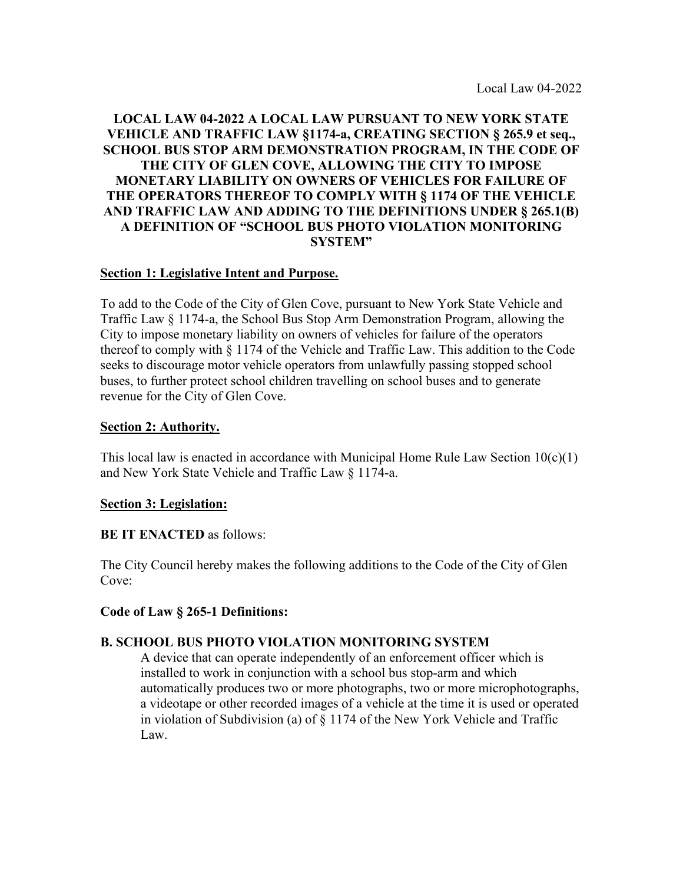## **LOCAL LAW 04-2022 A LOCAL LAW PURSUANT TO NEW YORK STATE VEHICLE AND TRAFFIC LAW §1174-a, CREATING SECTION § 265.9 et seq., SCHOOL BUS STOP ARM DEMONSTRATION PROGRAM, IN THE CODE OF THE CITY OF GLEN COVE, ALLOWING THE CITY TO IMPOSE MONETARY LIABILITY ON OWNERS OF VEHICLES FOR FAILURE OF THE OPERATORS THEREOF TO COMPLY WITH § 1174 OF THE VEHICLE AND TRAFFIC LAW AND ADDING TO THE DEFINITIONS UNDER § 265.1(B) A DEFINITION OF "SCHOOL BUS PHOTO VIOLATION MONITORING SYSTEM"**

### **Section 1: Legislative Intent and Purpose.**

To add to the Code of the City of Glen Cove, pursuant to New York State Vehicle and Traffic Law § 1174-a, the School Bus Stop Arm Demonstration Program, allowing the City to impose monetary liability on owners of vehicles for failure of the operators thereof to comply with § 1174 of the Vehicle and Traffic Law. This addition to the Code seeks to discourage motor vehicle operators from unlawfully passing stopped school buses, to further protect school children travelling on school buses and to generate revenue for the City of Glen Cove.

### **Section 2: Authority.**

This local law is enacted in accordance with Municipal Home Rule Law Section  $10(c)(1)$ and New York State Vehicle and Traffic Law § 1174-a.

#### **Section 3: Legislation:**

#### **BE IT ENACTED** as follows:

The City Council hereby makes the following additions to the Code of the City of Glen Cove:

### **Code of Law § 265-1 Definitions:**

### **B. SCHOOL BUS PHOTO VIOLATION MONITORING SYSTEM**

A device that can operate independently of an enforcement officer which is installed to work in conjunction with a school bus stop-arm and which automatically produces two or more photographs, two or more microphotographs, a videotape or other recorded images of a vehicle at the time it is used or operated in violation of Subdivision (a) of § 1174 of the New York Vehicle and Traffic Law.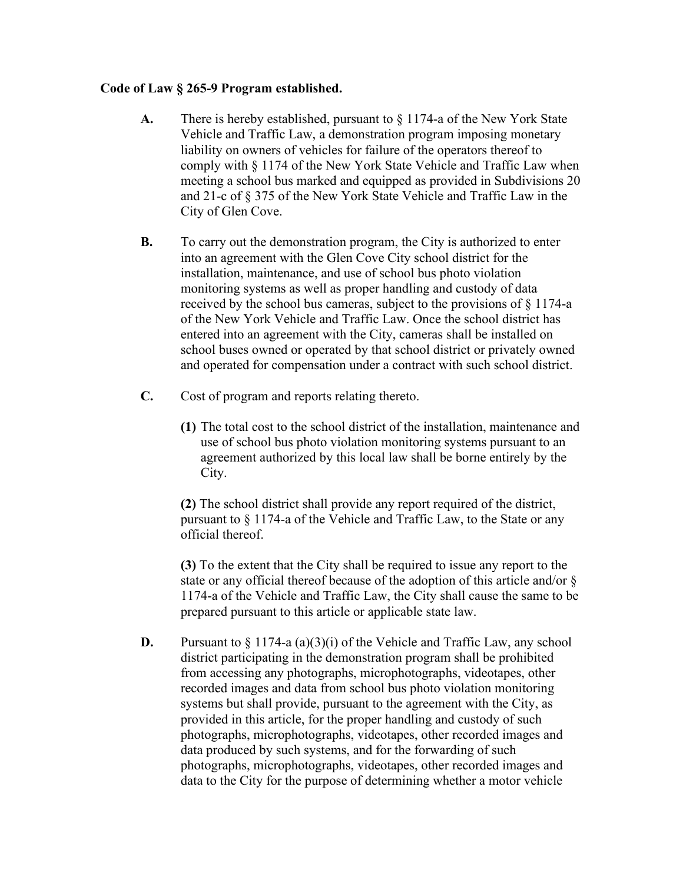### **Code of Law § 265-9 Program established.**

- **A.** There is hereby established, pursuant to § 1174-a of the New York State Vehicle and Traffic Law, a demonstration program imposing monetary liability on owners of vehicles for failure of the operators thereof to comply with § 1174 of the New York State Vehicle and Traffic Law when meeting a school bus marked and equipped as provided in Subdivisions 20 and 21-c of § 375 of the New York State Vehicle and Traffic Law in the City of Glen Cove.
- **B.** To carry out the demonstration program, the City is authorized to enter into an agreement with the Glen Cove City school district for the installation, maintenance, and use of school bus photo violation monitoring systems as well as proper handling and custody of data received by the school bus cameras, subject to the provisions of § 1174-a of the New York Vehicle and Traffic Law. Once the school district has entered into an agreement with the City, cameras shall be installed on school buses owned or operated by that school district or privately owned and operated for compensation under a contract with such school district.
- **C.** Cost of program and reports relating thereto.
	- **(1)** The total cost to the school district of the installation, maintenance and use of school bus photo violation monitoring systems pursuant to an agreement authorized by this local law shall be borne entirely by the City.

**(2)** The school district shall provide any report required of the district, pursuant to § 1174-a of the Vehicle and Traffic Law, to the State or any official thereof.

**(3)** To the extent that the City shall be required to issue any report to the state or any official thereof because of the adoption of this article and/or § 1174-a of the Vehicle and Traffic Law, the City shall cause the same to be prepared pursuant to this article or applicable state law.

**D.** Pursuant to  $\S 1174-a$  (a)(3)(i) of the Vehicle and Traffic Law, any school district participating in the demonstration program shall be prohibited from accessing any photographs, microphotographs, videotapes, other recorded images and data from school bus photo violation monitoring systems but shall provide, pursuant to the agreement with the City, as provided in this article, for the proper handling and custody of such photographs, microphotographs, videotapes, other recorded images and data produced by such systems, and for the forwarding of such photographs, microphotographs, videotapes, other recorded images and data to the City for the purpose of determining whether a motor vehicle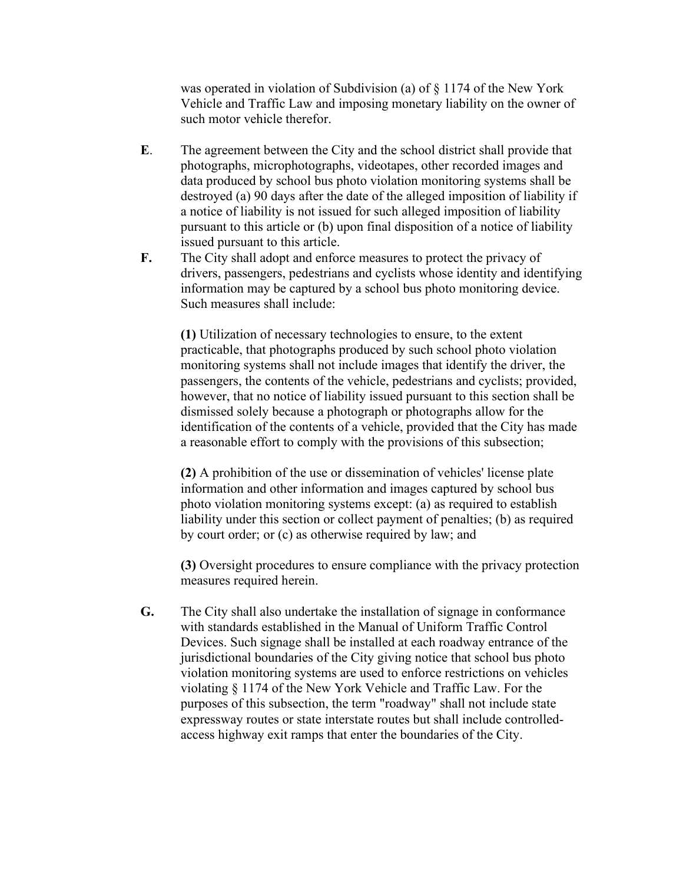was operated in violation of Subdivision (a) of § 1174 of the New York Vehicle and Traffic Law and imposing monetary liability on the owner of such motor vehicle therefor.

- **E**. The agreement between the City and the school district shall provide that photographs, microphotographs, videotapes, other recorded images and data produced by school bus photo violation monitoring systems shall be destroyed (a) 90 days after the date of the alleged imposition of liability if a notice of liability is not issued for such alleged imposition of liability pursuant to this article or (b) upon final disposition of a notice of liability issued pursuant to this article.
- **F.** The City shall adopt and enforce measures to protect the privacy of drivers, passengers, pedestrians and cyclists whose identity and identifying information may be captured by a school bus photo monitoring device. Such measures shall include:

**(1)** Utilization of necessary technologies to ensure, to the extent practicable, that photographs produced by such school photo violation monitoring systems shall not include images that identify the driver, the passengers, the contents of the vehicle, pedestrians and cyclists; provided, however, that no notice of liability issued pursuant to this section shall be dismissed solely because a photograph or photographs allow for the identification of the contents of a vehicle, provided that the City has made a reasonable effort to comply with the provisions of this subsection;

**(2)** A prohibition of the use or dissemination of vehicles' license plate information and other information and images captured by school bus photo violation monitoring systems except: (a) as required to establish liability under this section or collect payment of penalties; (b) as required by court order; or (c) as otherwise required by law; and

**(3)** Oversight procedures to ensure compliance with the privacy protection measures required herein.

**G.** The City shall also undertake the installation of signage in conformance with standards established in the Manual of Uniform Traffic Control Devices. Such signage shall be installed at each roadway entrance of the jurisdictional boundaries of the City giving notice that school bus photo violation monitoring systems are used to enforce restrictions on vehicles violating § 1174 of the New York Vehicle and Traffic Law. For the purposes of this subsection, the term "roadway" shall not include state expressway routes or state interstate routes but shall include controlledaccess highway exit ramps that enter the boundaries of the City.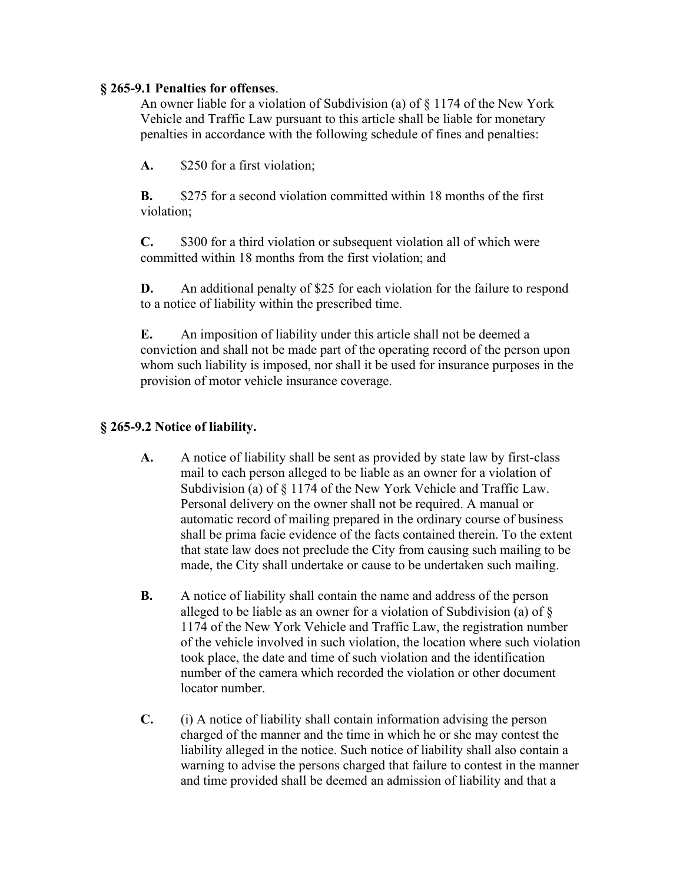### **§ 265-9.1 Penalties for offenses**.

An owner liable for a violation of Subdivision (a) of § 1174 of the New York Vehicle and Traffic Law pursuant to this article shall be liable for monetary penalties in accordance with the following schedule of fines and penalties:

**A.** \$250 for a first violation;

**B.** \$275 for a second violation committed within 18 months of the first violation;

**C.** \$300 for a third violation or subsequent violation all of which were committed within 18 months from the first violation; and

**D.** An additional penalty of \$25 for each violation for the failure to respond to a notice of liability within the prescribed time.

**E.** An imposition of liability under this article shall not be deemed a conviction and shall not be made part of the operating record of the person upon whom such liability is imposed, nor shall it be used for insurance purposes in the provision of motor vehicle insurance coverage.

# **§ 265-9.2 Notice of liability.**

- **A.** A notice of liability shall be sent as provided by state law by first-class mail to each person alleged to be liable as an owner for a violation of Subdivision (a) of § 1174 of the New York Vehicle and Traffic Law. Personal delivery on the owner shall not be required. A manual or automatic record of mailing prepared in the ordinary course of business shall be prima facie evidence of the facts contained therein. To the extent that state law does not preclude the City from causing such mailing to be made, the City shall undertake or cause to be undertaken such mailing.
- **B.** A notice of liability shall contain the name and address of the person alleged to be liable as an owner for a violation of Subdivision (a) of § 1174 of the New York Vehicle and Traffic Law, the registration number of the vehicle involved in such violation, the location where such violation took place, the date and time of such violation and the identification number of the camera which recorded the violation or other document locator number.
- **C.** (i) A notice of liability shall contain information advising the person charged of the manner and the time in which he or she may contest the liability alleged in the notice. Such notice of liability shall also contain a warning to advise the persons charged that failure to contest in the manner and time provided shall be deemed an admission of liability and that a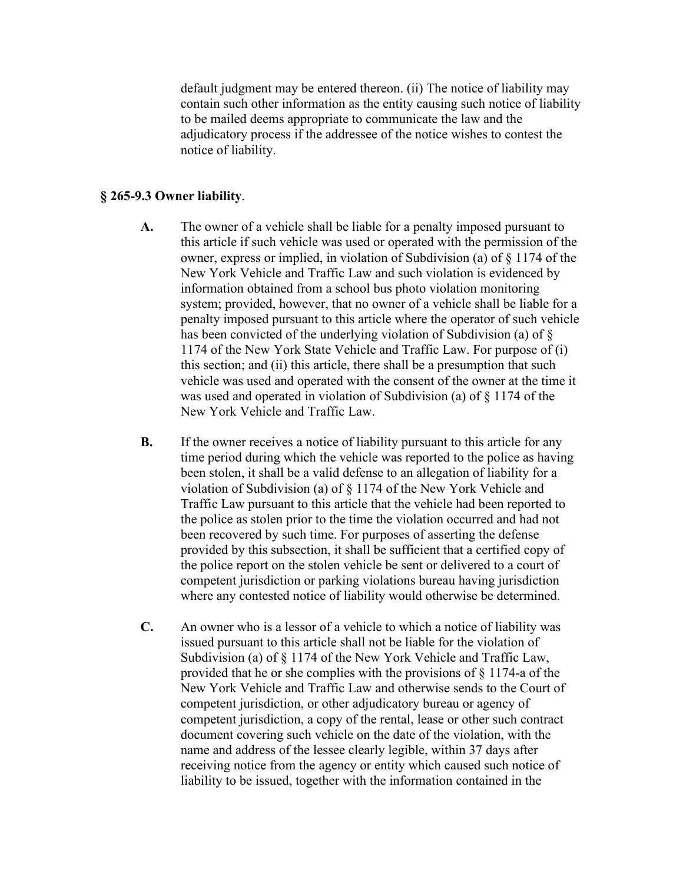default judgment may be entered thereon. (ii) The notice of liability may contain such other information as the entity causing such notice of liability to be mailed deems appropriate to communicate the law and the adjudicatory process if the addressee of the notice wishes to contest the notice of liability.

### **§ 265-9.3 Owner liability**.

- **A.** The owner of a vehicle shall be liable for a penalty imposed pursuant to this article if such vehicle was used or operated with the permission of the owner, express or implied, in violation of Subdivision (a) of § 1174 of the New York Vehicle and Traffic Law and such violation is evidenced by information obtained from a school bus photo violation monitoring system; provided, however, that no owner of a vehicle shall be liable for a penalty imposed pursuant to this article where the operator of such vehicle has been convicted of the underlying violation of Subdivision (a) of § 1174 of the New York State Vehicle and Traffic Law. For purpose of (i) this section; and (ii) this article, there shall be a presumption that such vehicle was used and operated with the consent of the owner at the time it was used and operated in violation of Subdivision (a) of § 1174 of the New York Vehicle and Traffic Law.
- **B.** If the owner receives a notice of liability pursuant to this article for any time period during which the vehicle was reported to the police as having been stolen, it shall be a valid defense to an allegation of liability for a violation of Subdivision (a) of § 1174 of the New York Vehicle and Traffic Law pursuant to this article that the vehicle had been reported to the police as stolen prior to the time the violation occurred and had not been recovered by such time. For purposes of asserting the defense provided by this subsection, it shall be sufficient that a certified copy of the police report on the stolen vehicle be sent or delivered to a court of competent jurisdiction or parking violations bureau having jurisdiction where any contested notice of liability would otherwise be determined.
- **C.** An owner who is a lessor of a vehicle to which a notice of liability was issued pursuant to this article shall not be liable for the violation of Subdivision (a) of § 1174 of the New York Vehicle and Traffic Law, provided that he or she complies with the provisions of § 1174-a of the New York Vehicle and Traffic Law and otherwise sends to the Court of competent jurisdiction, or other adjudicatory bureau or agency of competent jurisdiction, a copy of the rental, lease or other such contract document covering such vehicle on the date of the violation, with the name and address of the lessee clearly legible, within 37 days after receiving notice from the agency or entity which caused such notice of liability to be issued, together with the information contained in the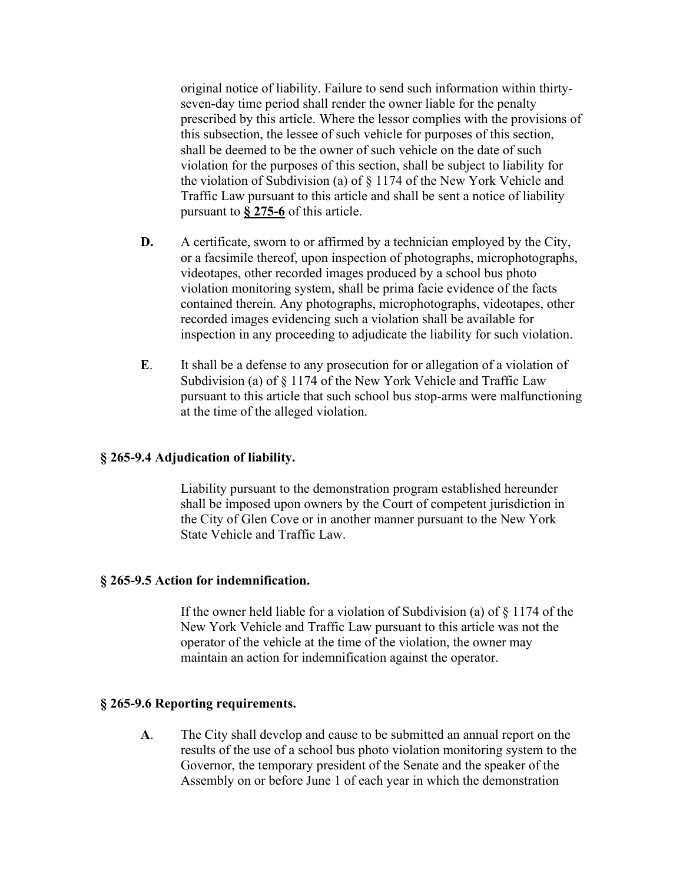original notice of liability. Failure to send such information within thirtyseven-day time period shall render the owner liable for the penalty prescribed by this article. Where the lessor complies with the provisions of this subsection, the lessee of such vehicle for purposes of this section, shall be deemed to be the owner of such vehicle on the date of such violation for the purposes of this section, shall be subject to liability for the violation of Subdivision (a) of § 1174 of the New York Vehicle and Traffic Law pursuant to this article and shall be sent a notice of liability pursuant to **§ 275-6** of this article.

- **D.** A certificate, sworn to or affirmed by a technician employed by the City, or a facsimile thereof, upon inspection of photographs, microphotographs, videotapes, other recorded images produced by a school bus photo violation monitoring system, shall be prima facie evidence of the facts contained therein. Any photographs, microphotographs, videotapes, other recorded images evidencing such a violation shall be available for inspection in any proceeding to adjudicate the liability for such violation.
- **E**. It shall be a defense to any prosecution for or allegation of a violation of Subdivision (a) of § 1174 of the New York Vehicle and Traffic Law pursuant to this article that such school bus stop-arms were malfunctioning at the time of the alleged violation.

### **§ 265-9.4 Adjudication of liability.**

Liability pursuant to the demonstration program established hereunder shall be imposed upon owners by the Court of competent jurisdiction in the City of Glen Cove or in another manner pursuant to the New York State Vehicle and Traffic Law.

#### **§ 265-9.5 Action for indemnification.**

If the owner held liable for a violation of Subdivision (a) of  $\S$  1174 of the New York Vehicle and Traffic Law pursuant to this article was not the operator of the vehicle at the time of the violation, the owner may maintain an action for indemnification against the operator.

#### **§ 265-9.6 Reporting requirements.**

**A**. The City shall develop and cause to be submitted an annual report on the results of the use of a school bus photo violation monitoring system to the Governor, the temporary president of the Senate and the speaker of the Assembly on or before June 1 of each year in which the demonstration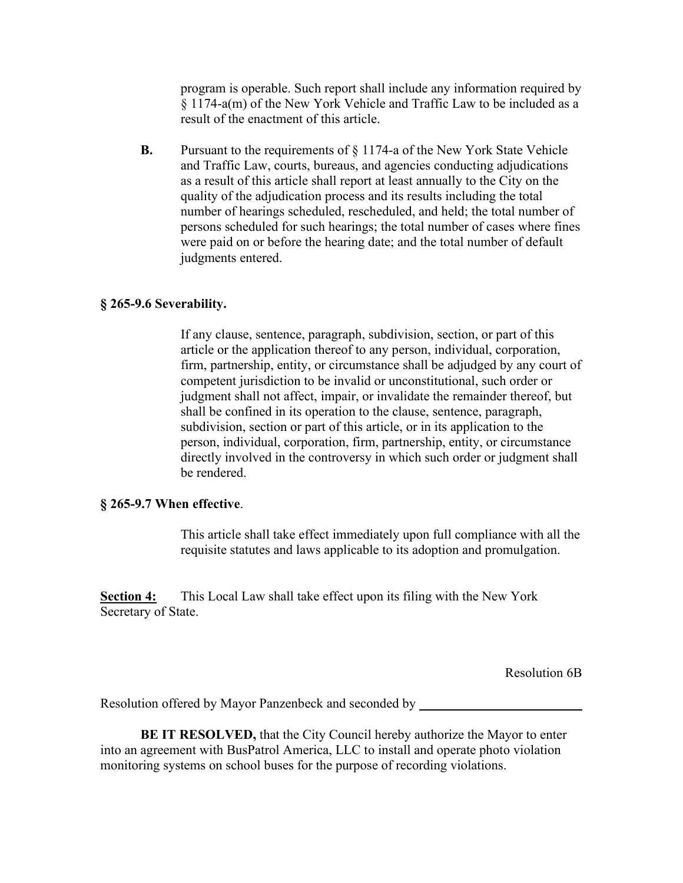program is operable. Such report shall include any information required by § 1174-a(m) of the New York Vehicle and Traffic Law to be included as a result of the enactment of this article.

**B.** Pursuant to the requirements of § 1174-a of the New York State Vehicle and Traffic Law, courts, bureaus, and agencies conducting adjudications as a result of this article shall report at least annually to the City on the quality of the adjudication process and its results including the total number of hearings scheduled, rescheduled, and held; the total number of persons scheduled for such hearings; the total number of cases where fines were paid on or before the hearing date; and the total number of default judgments entered.

### **§ 265-9.6 Severability.**

If any clause, sentence, paragraph, subdivision, section, or part of this article or the application thereof to any person, individual, corporation, firm, partnership, entity, or circumstance shall be adjudged by any court of competent jurisdiction to be invalid or unconstitutional, such order or judgment shall not affect, impair, or invalidate the remainder thereof, but shall be confined in its operation to the clause, sentence, paragraph, subdivision, section or part of this article, or in its application to the person, individual, corporation, firm, partnership, entity, or circumstance directly involved in the controversy in which such order or judgment shall be rendered.

#### **§ 265-9.7 When effective**.

This article shall take effect immediately upon full compliance with all the requisite statutes and laws applicable to its adoption and promulgation.

**Section 4:** This Local Law shall take effect upon its filing with the New York Secretary of State.

Resolution 6B

Resolution offered by Mayor Panzenbeck and seconded by

**BE IT RESOLVED,** that the City Council hereby authorize the Mayor to enter into an agreement with BusPatrol America, LLC to install and operate photo violation monitoring systems on school buses for the purpose of recording violations.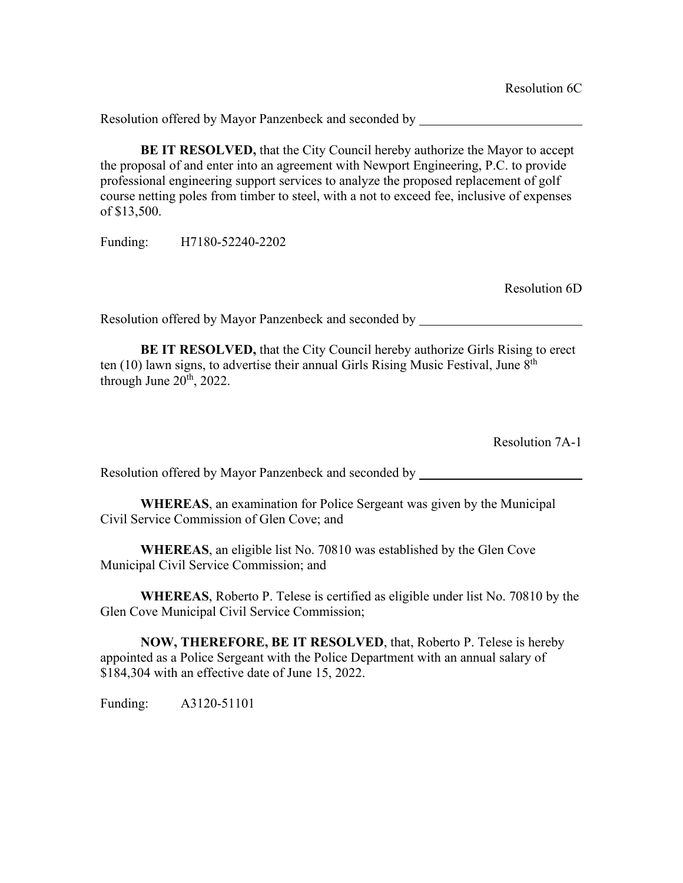Resolution offered by Mayor Panzenbeck and seconded by

**BE IT RESOLVED,** that the City Council hereby authorize the Mayor to accept the proposal of and enter into an agreement with Newport Engineering, P.C. to provide professional engineering support services to analyze the proposed replacement of golf course netting poles from timber to steel, with a not to exceed fee, inclusive of expenses of \$13,500.

Funding: H7180-52240-2202

Resolution 6D

Resolution offered by Mayor Panzenbeck and seconded by

**BE IT RESOLVED,** that the City Council hereby authorize Girls Rising to erect ten  $(10)$  lawn signs, to advertise their annual Girls Rising Music Festival, June  $8<sup>th</sup>$ through June  $20<sup>th</sup>$ , 2022.

Resolution 7A-1

Resolution offered by Mayor Panzenbeck and seconded by

**WHEREAS**, an examination for Police Sergeant was given by the Municipal Civil Service Commission of Glen Cove; and

**WHEREAS**, an eligible list No. 70810 was established by the Glen Cove Municipal Civil Service Commission; and

**WHEREAS**, Roberto P. Telese is certified as eligible under list No. 70810 by the Glen Cove Municipal Civil Service Commission;

**NOW, THEREFORE, BE IT RESOLVED**, that, Roberto P. Telese is hereby appointed as a Police Sergeant with the Police Department with an annual salary of \$184,304 with an effective date of June 15, 2022.

Funding: A3120-51101